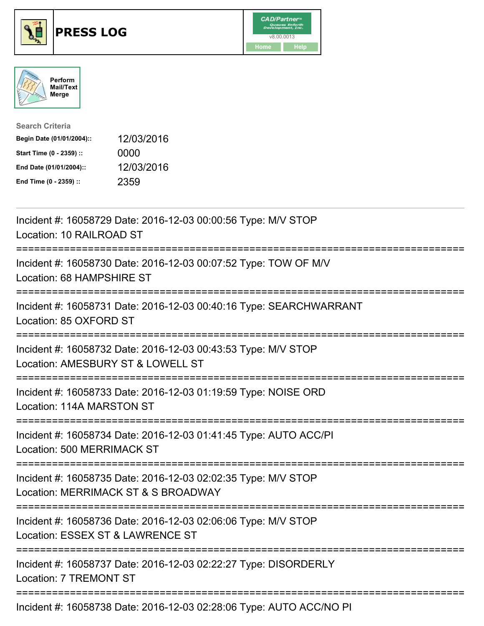





| <b>Search Criteria</b>    |            |
|---------------------------|------------|
| Begin Date (01/01/2004):: | 12/03/2016 |
| Start Time (0 - 2359) ::  | 0000       |
| End Date (01/01/2004)::   | 12/03/2016 |
| End Time (0 - 2359) ::    | 2359       |

| Incident #: 16058729 Date: 2016-12-03 00:00:56 Type: M/V STOP<br>Location: 10 RAILROAD ST                                            |
|--------------------------------------------------------------------------------------------------------------------------------------|
| Incident #: 16058730 Date: 2016-12-03 00:07:52 Type: TOW OF M/V<br>Location: 68 HAMPSHIRE ST                                         |
| Incident #: 16058731 Date: 2016-12-03 00:40:16 Type: SEARCHWARRANT<br>Location: 85 OXFORD ST                                         |
| Incident #: 16058732 Date: 2016-12-03 00:43:53 Type: M/V STOP<br>Location: AMESBURY ST & LOWELL ST<br>-----------------------        |
| Incident #: 16058733 Date: 2016-12-03 01:19:59 Type: NOISE ORD<br>Location: 114A MARSTON ST                                          |
| Incident #: 16058734 Date: 2016-12-03 01:41:45 Type: AUTO ACC/PI<br>Location: 500 MERRIMACK ST                                       |
| Incident #: 16058735 Date: 2016-12-03 02:02:35 Type: M/V STOP<br>Location: MERRIMACK ST & S BROADWAY<br>---------------------------- |
| Incident #: 16058736 Date: 2016-12-03 02:06:06 Type: M/V STOP<br>Location: ESSEX ST & LAWRENCE ST                                    |
| <u>========================</u><br>Incident #: 16058737 Date: 2016-12-03 02:22:27 Type: DISORDERLY<br>Location: 7 TREMONT ST         |
| Incident #: 16058738 Date: 2016-12-03 02:28:06 Type: AUTO ACC/NO PI                                                                  |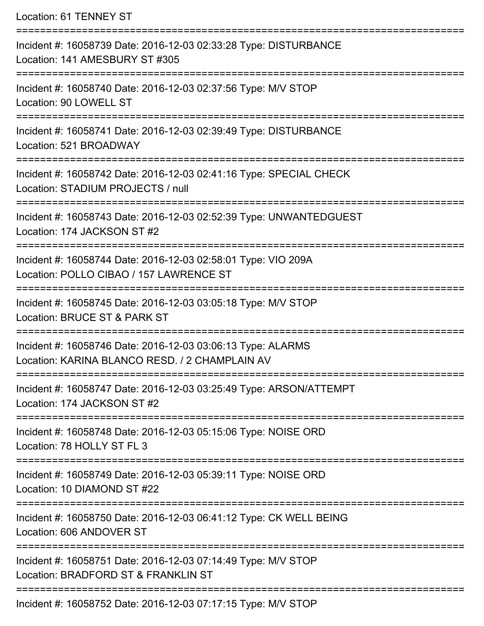Location: 61 TENNEY ST =========================================================================== Incident #: 16058739 Date: 2016-12-03 02:33:28 Type: DISTURBANCE Location: 141 AMESBURY ST #305 =========================================================================== Incident #: 16058740 Date: 2016-12-03 02:37:56 Type: M/V STOP Location: 90 LOWELL ST =========================================================================== Incident #: 16058741 Date: 2016-12-03 02:39:49 Type: DISTURBANCE Location: 521 BROADWAY =========================================================================== Incident #: 16058742 Date: 2016-12-03 02:41:16 Type: SPECIAL CHECK Location: STADIUM PROJECTS / null =========================================================================== Incident #: 16058743 Date: 2016-12-03 02:52:39 Type: UNWANTEDGUEST Location: 174 JACKSON ST #2 =========================================================================== Incident #: 16058744 Date: 2016-12-03 02:58:01 Type: VIO 209A Location: POLLO CIBAO / 157 LAWRENCE ST =========================================================================== Incident #: 16058745 Date: 2016-12-03 03:05:18 Type: M/V STOP Location: BRUCE ST & PARK ST =========================================================================== Incident #: 16058746 Date: 2016-12-03 03:06:13 Type: ALARMS Location: KARINA BLANCO RESD. / 2 CHAMPLAIN AV =========================================================================== Incident #: 16058747 Date: 2016-12-03 03:25:49 Type: ARSON/ATTEMPT Location: 174 JACKSON ST #2 =========================================================================== Incident #: 16058748 Date: 2016-12-03 05:15:06 Type: NOISE ORD Location: 78 HOLLY ST FL 3 =========================================================================== Incident #: 16058749 Date: 2016-12-03 05:39:11 Type: NOISE ORD Location: 10 DIAMOND ST #22 =========================================================================== Incident #: 16058750 Date: 2016-12-03 06:41:12 Type: CK WELL BEING Location: 606 ANDOVER ST =========================================================================== Incident #: 16058751 Date: 2016-12-03 07:14:49 Type: M/V STOP Location: BRADFORD ST & FRANKLIN ST ===========================================================================

Incident #: 16058752 Date: 2016-12-03 07:17:15 Type: M/V STOP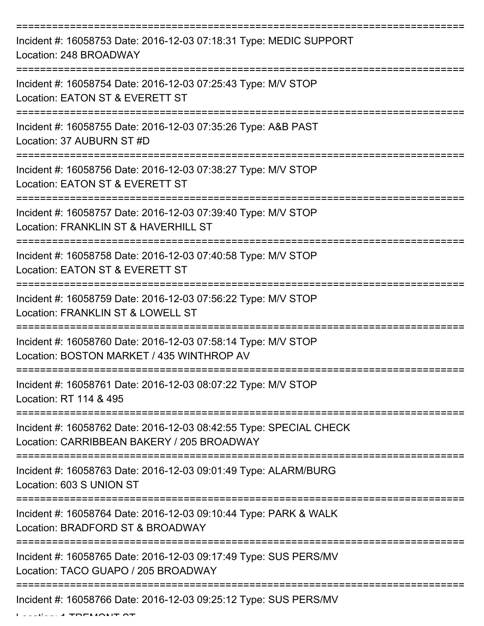| Incident #: 16058753 Date: 2016-12-03 07:18:31 Type: MEDIC SUPPORT<br>Location: 248 BROADWAY                     |
|------------------------------------------------------------------------------------------------------------------|
| Incident #: 16058754 Date: 2016-12-03 07:25:43 Type: M/V STOP<br>Location: EATON ST & EVERETT ST                 |
| Incident #: 16058755 Date: 2016-12-03 07:35:26 Type: A&B PAST<br>Location: 37 AUBURN ST #D                       |
| Incident #: 16058756 Date: 2016-12-03 07:38:27 Type: M/V STOP<br>Location: EATON ST & EVERETT ST                 |
| Incident #: 16058757 Date: 2016-12-03 07:39:40 Type: M/V STOP<br>Location: FRANKLIN ST & HAVERHILL ST            |
| Incident #: 16058758 Date: 2016-12-03 07:40:58 Type: M/V STOP<br>Location: EATON ST & EVERETT ST                 |
| Incident #: 16058759 Date: 2016-12-03 07:56:22 Type: M/V STOP<br>Location: FRANKLIN ST & LOWELL ST               |
| Incident #: 16058760 Date: 2016-12-03 07:58:14 Type: M/V STOP<br>Location: BOSTON MARKET / 435 WINTHROP AV       |
| Incident #: 16058761 Date: 2016-12-03 08:07:22 Type: M/V STOP<br>Location: RT 114 & 495                          |
| Incident #: 16058762 Date: 2016-12-03 08:42:55 Type: SPECIAL CHECK<br>Location: CARRIBBEAN BAKERY / 205 BROADWAY |
| Incident #: 16058763 Date: 2016-12-03 09:01:49 Type: ALARM/BURG<br>Location: 603 S UNION ST                      |
| Incident #: 16058764 Date: 2016-12-03 09:10:44 Type: PARK & WALK<br>Location: BRADFORD ST & BROADWAY             |
| Incident #: 16058765 Date: 2016-12-03 09:17:49 Type: SUS PERS/MV<br>Location: TACO GUAPO / 205 BROADWAY          |
| Incident #: 16058766 Date: 2016-12-03 09:25:12 Type: SUS PERS/MV                                                 |

 $L$  ...  $\lambda$  tremont of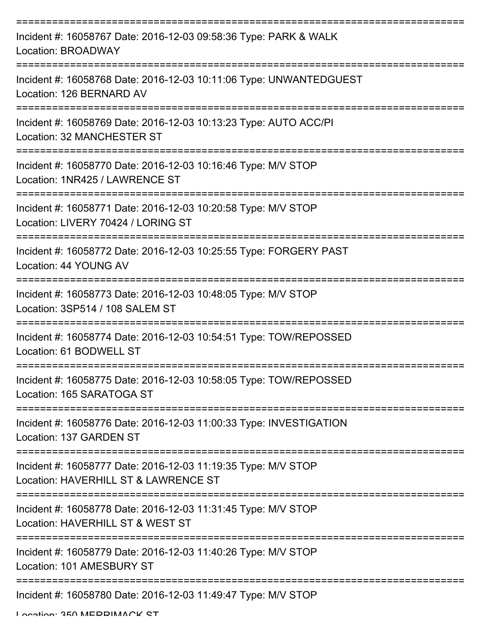| Incident #: 16058767 Date: 2016-12-03 09:58:36 Type: PARK & WALK<br>Location: BROADWAY                      |
|-------------------------------------------------------------------------------------------------------------|
| Incident #: 16058768 Date: 2016-12-03 10:11:06 Type: UNWANTEDGUEST<br>Location: 126 BERNARD AV              |
| Incident #: 16058769 Date: 2016-12-03 10:13:23 Type: AUTO ACC/PI<br>Location: 32 MANCHESTER ST              |
| Incident #: 16058770 Date: 2016-12-03 10:16:46 Type: M/V STOP<br>Location: 1NR425 / LAWRENCE ST             |
| Incident #: 16058771 Date: 2016-12-03 10:20:58 Type: M/V STOP<br>Location: LIVERY 70424 / LORING ST         |
| Incident #: 16058772 Date: 2016-12-03 10:25:55 Type: FORGERY PAST<br>Location: 44 YOUNG AV                  |
| Incident #: 16058773 Date: 2016-12-03 10:48:05 Type: M/V STOP<br>Location: 3SP514 / 108 SALEM ST<br>======= |
| Incident #: 16058774 Date: 2016-12-03 10:54:51 Type: TOW/REPOSSED<br>Location: 61 BODWELL ST                |
| Incident #: 16058775 Date: 2016-12-03 10:58:05 Type: TOW/REPOSSED<br>Location: 165 SARATOGA ST              |
| Incident #: 16058776 Date: 2016-12-03 11:00:33 Type: INVESTIGATION<br>Location: 137 GARDEN ST               |
| Incident #: 16058777 Date: 2016-12-03 11:19:35 Type: M/V STOP<br>Location: HAVERHILL ST & LAWRENCE ST       |
| Incident #: 16058778 Date: 2016-12-03 11:31:45 Type: M/V STOP<br>Location: HAVERHILL ST & WEST ST           |
| Incident #: 16058779 Date: 2016-12-03 11:40:26 Type: M/V STOP<br>Location: 101 AMESBURY ST                  |
| Incident #: 16058780 Date: 2016-12-03 11:49:47 Type: M/V STOP                                               |

Location: 250 MEDDIMACK ST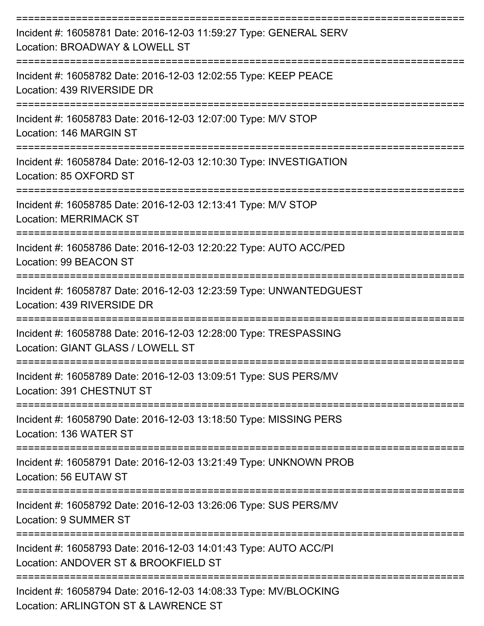| Incident #: 16058781 Date: 2016-12-03 11:59:27 Type: GENERAL SERV<br>Location: BROADWAY & LOWELL ST      |
|----------------------------------------------------------------------------------------------------------|
| Incident #: 16058782 Date: 2016-12-03 12:02:55 Type: KEEP PEACE<br>Location: 439 RIVERSIDE DR            |
| Incident #: 16058783 Date: 2016-12-03 12:07:00 Type: M/V STOP<br>Location: 146 MARGIN ST                 |
| Incident #: 16058784 Date: 2016-12-03 12:10:30 Type: INVESTIGATION<br>Location: 85 OXFORD ST             |
| Incident #: 16058785 Date: 2016-12-03 12:13:41 Type: M/V STOP<br><b>Location: MERRIMACK ST</b>           |
| Incident #: 16058786 Date: 2016-12-03 12:20:22 Type: AUTO ACC/PED<br>Location: 99 BEACON ST              |
| Incident #: 16058787 Date: 2016-12-03 12:23:59 Type: UNWANTEDGUEST<br>Location: 439 RIVERSIDE DR         |
| Incident #: 16058788 Date: 2016-12-03 12:28:00 Type: TRESPASSING<br>Location: GIANT GLASS / LOWELL ST    |
| Incident #: 16058789 Date: 2016-12-03 13:09:51 Type: SUS PERS/MV<br>Location: 391 CHESTNUT ST            |
| Incident #: 16058790 Date: 2016-12-03 13:18:50 Type: MISSING PERS<br>Location: 136 WATER ST              |
| Incident #: 16058791 Date: 2016-12-03 13:21:49 Type: UNKNOWN PROB<br>Location: 56 EUTAW ST               |
| Incident #: 16058792 Date: 2016-12-03 13:26:06 Type: SUS PERS/MV<br>Location: 9 SUMMER ST                |
| Incident #: 16058793 Date: 2016-12-03 14:01:43 Type: AUTO ACC/PI<br>Location: ANDOVER ST & BROOKFIELD ST |
| Incident #: 16058794 Date: 2016-12-03 14:08:33 Type: MV/BLOCKING<br>Location: ARLINGTON ST & LAWRENCE ST |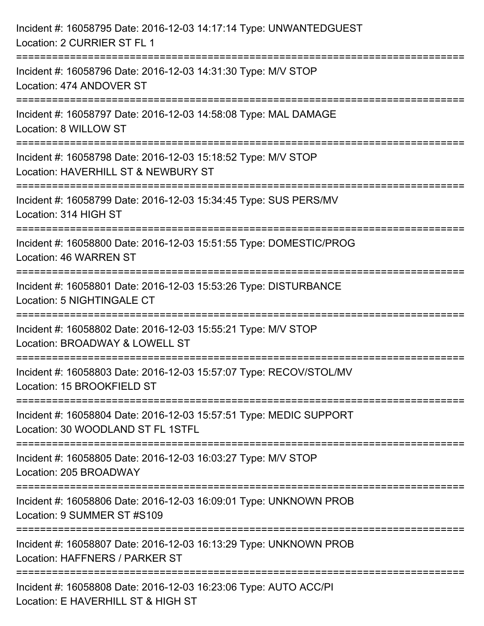| Incident #: 16058795 Date: 2016-12-03 14:17:14 Type: UNWANTEDGUEST<br>Location: 2 CURRIER ST FL 1               |
|-----------------------------------------------------------------------------------------------------------------|
| Incident #: 16058796 Date: 2016-12-03 14:31:30 Type: M/V STOP<br>Location: 474 ANDOVER ST<br>------------------ |
| Incident #: 16058797 Date: 2016-12-03 14:58:08 Type: MAL DAMAGE<br>Location: 8 WILLOW ST                        |
| Incident #: 16058798 Date: 2016-12-03 15:18:52 Type: M/V STOP<br>Location: HAVERHILL ST & NEWBURY ST            |
| Incident #: 16058799 Date: 2016-12-03 15:34:45 Type: SUS PERS/MV<br>Location: 314 HIGH ST                       |
| Incident #: 16058800 Date: 2016-12-03 15:51:55 Type: DOMESTIC/PROG<br>Location: 46 WARREN ST                    |
| Incident #: 16058801 Date: 2016-12-03 15:53:26 Type: DISTURBANCE<br>Location: 5 NIGHTINGALE CT                  |
| Incident #: 16058802 Date: 2016-12-03 15:55:21 Type: M/V STOP<br>Location: BROADWAY & LOWELL ST                 |
| Incident #: 16058803 Date: 2016-12-03 15:57:07 Type: RECOV/STOL/MV<br>Location: 15 BROOKFIELD ST                |
| Incident #: 16058804 Date: 2016-12-03 15:57:51 Type: MEDIC SUPPORT<br>Location: 30 WOODLAND ST FL 1STFL         |
| Incident #: 16058805 Date: 2016-12-03 16:03:27 Type: M/V STOP<br>Location: 205 BROADWAY                         |
| Incident #: 16058806 Date: 2016-12-03 16:09:01 Type: UNKNOWN PROB<br>Location: 9 SUMMER ST #S109                |
| Incident #: 16058807 Date: 2016-12-03 16:13:29 Type: UNKNOWN PROB<br>Location: HAFFNERS / PARKER ST             |
| Incident #: 16058808 Date: 2016-12-03 16:23:06 Type: AUTO ACC/PI<br>Location: E HAVERHILL ST & HIGH ST          |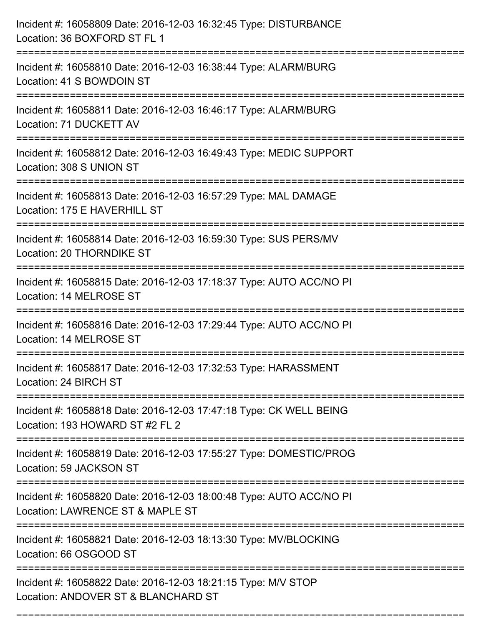| Incident #: 16058809 Date: 2016-12-03 16:32:45 Type: DISTURBANCE<br>Location: 36 BOXFORD ST FL 1                                       |
|----------------------------------------------------------------------------------------------------------------------------------------|
| ======================================<br>Incident #: 16058810 Date: 2016-12-03 16:38:44 Type: ALARM/BURG<br>Location: 41 S BOWDOIN ST |
| Incident #: 16058811 Date: 2016-12-03 16:46:17 Type: ALARM/BURG<br>Location: 71 DUCKETT AV                                             |
| Incident #: 16058812 Date: 2016-12-03 16:49:43 Type: MEDIC SUPPORT<br>Location: 308 S UNION ST                                         |
| Incident #: 16058813 Date: 2016-12-03 16:57:29 Type: MAL DAMAGE<br>Location: 175 E HAVERHILL ST                                        |
| Incident #: 16058814 Date: 2016-12-03 16:59:30 Type: SUS PERS/MV<br>Location: 20 THORNDIKE ST                                          |
| Incident #: 16058815 Date: 2016-12-03 17:18:37 Type: AUTO ACC/NO PI<br>Location: 14 MELROSE ST                                         |
| Incident #: 16058816 Date: 2016-12-03 17:29:44 Type: AUTO ACC/NO PI<br>Location: 14 MELROSE ST                                         |
| Incident #: 16058817 Date: 2016-12-03 17:32:53 Type: HARASSMENT<br>Location: 24 BIRCH ST                                               |
| Incident #: 16058818 Date: 2016-12-03 17:47:18 Type: CK WELL BEING<br>Location: 193 HOWARD ST #2 FL 2                                  |
| Incident #: 16058819 Date: 2016-12-03 17:55:27 Type: DOMESTIC/PROG<br>Location: 59 JACKSON ST                                          |
| Incident #: 16058820 Date: 2016-12-03 18:00:48 Type: AUTO ACC/NO PI<br>Location: LAWRENCE ST & MAPLE ST                                |
| Incident #: 16058821 Date: 2016-12-03 18:13:30 Type: MV/BLOCKING<br>Location: 66 OSGOOD ST                                             |
| Incident #: 16058822 Date: 2016-12-03 18:21:15 Type: M/V STOP<br>Location: ANDOVER ST & BLANCHARD ST                                   |

===========================================================================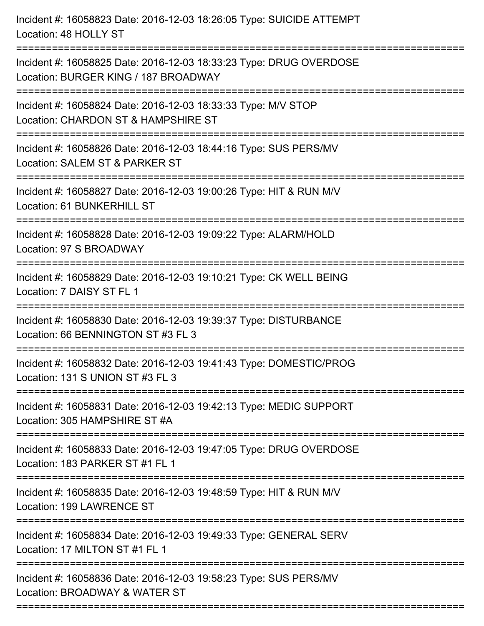| Incident #: 16058823 Date: 2016-12-03 18:26:05 Type: SUICIDE ATTEMPT<br>Location: 48 HOLLY ST                                                                    |
|------------------------------------------------------------------------------------------------------------------------------------------------------------------|
| Incident #: 16058825 Date: 2016-12-03 18:33:23 Type: DRUG OVERDOSE<br>Location: BURGER KING / 187 BROADWAY                                                       |
| Incident #: 16058824 Date: 2016-12-03 18:33:33 Type: M/V STOP<br>Location: CHARDON ST & HAMPSHIRE ST<br>=========================                                |
| Incident #: 16058826 Date: 2016-12-03 18:44:16 Type: SUS PERS/MV<br>Location: SALEM ST & PARKER ST                                                               |
| Incident #: 16058827 Date: 2016-12-03 19:00:26 Type: HIT & RUN M/V<br>Location: 61 BUNKERHILL ST<br>:=================================<br>====================== |
| Incident #: 16058828 Date: 2016-12-03 19:09:22 Type: ALARM/HOLD<br>Location: 97 S BROADWAY                                                                       |
| Incident #: 16058829 Date: 2016-12-03 19:10:21 Type: CK WELL BEING<br>Location: 7 DAISY ST FL 1<br>============================                                  |
| Incident #: 16058830 Date: 2016-12-03 19:39:37 Type: DISTURBANCE<br>Location: 66 BENNINGTON ST #3 FL 3                                                           |
| Incident #: 16058832 Date: 2016-12-03 19:41:43 Type: DOMESTIC/PROG<br>Location: 131 S UNION ST #3 FL 3                                                           |
| Incident #: 16058831 Date: 2016-12-03 19:42:13 Type: MEDIC SUPPORT<br>Location: 305 HAMPSHIRE ST #A                                                              |
| Incident #: 16058833 Date: 2016-12-03 19:47:05 Type: DRUG OVERDOSE<br>Location: 183 PARKER ST #1 FL 1                                                            |
| Incident #: 16058835 Date: 2016-12-03 19:48:59 Type: HIT & RUN M/V<br>Location: 199 LAWRENCE ST                                                                  |
| Incident #: 16058834 Date: 2016-12-03 19:49:33 Type: GENERAL SERV<br>Location: 17 MILTON ST #1 FL 1                                                              |
| Incident #: 16058836 Date: 2016-12-03 19:58:23 Type: SUS PERS/MV<br>Location: BROADWAY & WATER ST                                                                |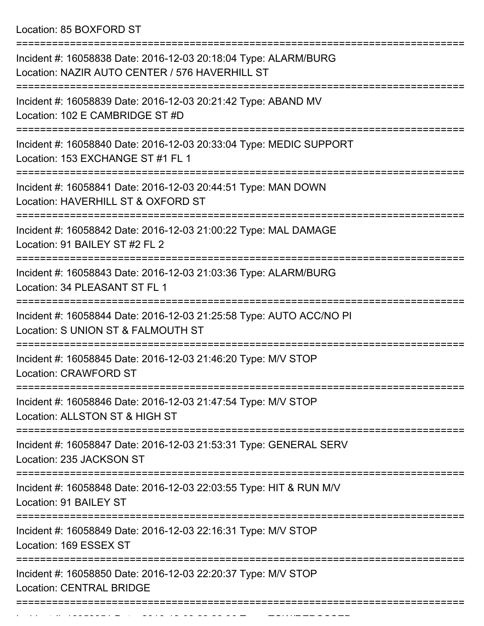Location: 85 BOXFORD ST

=========================================================================== Incident #: 16058838 Date: 2016-12-03 20:18:04 Type: ALARM/BURG Location: NAZIR AUTO CENTER / 576 HAVERHILL ST =========================================================================== Incident #: 16058839 Date: 2016-12-03 20:21:42 Type: ABAND MV Location: 102 E CAMBRIDGE ST #D =========================================================================== Incident #: 16058840 Date: 2016-12-03 20:33:04 Type: MEDIC SUPPORT Location: 153 EXCHANGE ST #1 FL 1 =========================================================================== Incident #: 16058841 Date: 2016-12-03 20:44:51 Type: MAN DOWN Location: HAVERHILL ST & OXFORD ST =========================================================================== Incident #: 16058842 Date: 2016-12-03 21:00:22 Type: MAL DAMAGE Location: 91 BAILEY ST #2 FL 2 =========================================================================== Incident #: 16058843 Date: 2016-12-03 21:03:36 Type: ALARM/BURG Location: 34 PLEASANT ST FL 1 =========================================================================== Incident #: 16058844 Date: 2016-12-03 21:25:58 Type: AUTO ACC/NO PI Location: S UNION ST & FALMOUTH ST =========================================================================== Incident #: 16058845 Date: 2016-12-03 21:46:20 Type: M/V STOP Location: CRAWFORD ST =========================================================================== Incident #: 16058846 Date: 2016-12-03 21:47:54 Type: M/V STOP Location: ALLSTON ST & HIGH ST =========================================================================== Incident #: 16058847 Date: 2016-12-03 21:53:31 Type: GENERAL SERV Location: 235 JACKSON ST =========================================================================== Incident #: 16058848 Date: 2016-12-03 22:03:55 Type: HIT & RUN M/V Location: 91 BAILEY ST =========================================================================== Incident #: 16058849 Date: 2016-12-03 22:16:31 Type: M/V STOP Location: 169 ESSEX ST =========================================================================== Incident #: 16058850 Date: 2016-12-03 22:20:37 Type: M/V STOP Location: CENTRAL BRIDGE ===========================================================================

Incident #: 16058851 Date: 2016 12 03 22:22:36 Type: TOW/REPOSSED